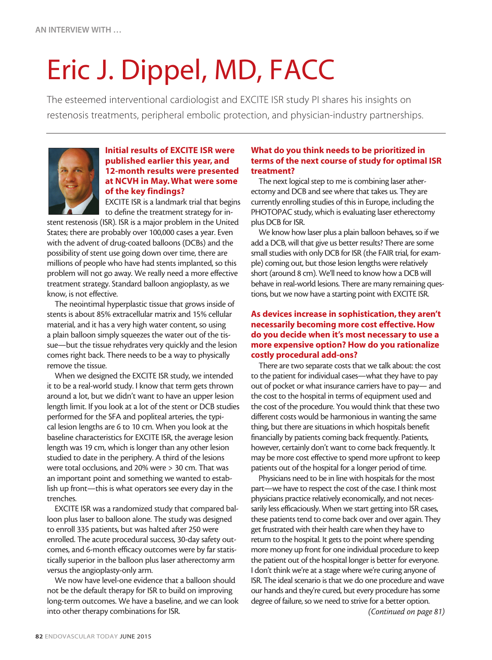# Eric J. Dippel, MD, FACC

The esteemed interventional cardiologist and EXCITE ISR study PI shares his insights on restenosis treatments, peripheral embolic protection, and physician-industry partnerships.



# Initial results of EXCITE ISR were published earlier this year, and 12-month results were presented at NCVH in May. What were some of the key findings?

EXCITE ISR is a landmark trial that begins to define the treatment strategy for in-

stent restenosis (ISR). ISR is a major problem in the United States; there are probably over 100,000 cases a year. Even with the advent of drug-coated balloons (DCBs) and the possibility of stent use going down over time, there are millions of people who have had stents implanted, so this problem will not go away. We really need a more effective treatment strategy. Standard balloon angioplasty, as we know, is not effective.

The neointimal hyperplastic tissue that grows inside of stents is about 85% extracellular matrix and 15% cellular material, and it has a very high water content, so using a plain balloon simply squeezes the water out of the tissue—but the tissue rehydrates very quickly and the lesion comes right back. There needs to be a way to physically remove the tissue.

When we designed the EXCITE ISR study, we intended it to be a real-world study. I know that term gets thrown around a lot, but we didn't want to have an upper lesion length limit. If you look at a lot of the stent or DCB studies performed for the SFA and popliteal arteries, the typical lesion lengths are 6 to 10 cm. When you look at the baseline characteristics for EXCITE ISR, the average lesion length was 19 cm, which is longer than any other lesion studied to date in the periphery. A third of the lesions were total occlusions, and 20% were > 30 cm. That was an important point and something we wanted to establish up front—this is what operators see every day in the trenches.

EXCITE ISR was a randomized study that compared balloon plus laser to balloon alone. The study was designed to enroll 335 patients, but was halted after 250 were enrolled. The acute procedural success, 30-day safety outcomes, and 6-month efficacy outcomes were by far statistically superior in the balloon plus laser atherectomy arm versus the angioplasty-only arm.

We now have level-one evidence that a balloon should not be the default therapy for ISR to build on improving long-term outcomes. We have a baseline, and we can look into other therapy combinations for ISR.

#### What do you think needs to be prioritized in terms of the next course of study for optimal ISR treatment?

The next logical step to me is combining laser atherectomy and DCB and see where that takes us. They are currently enrolling studies of this in Europe, including the PHOTOPAC study, which is evaluating laser etherectomy plus DCB for ISR.

We know how laser plus a plain balloon behaves, so if we add a DCB, will that give us better results? There are some small studies with only DCB for ISR (the FAIR trial, for example) coming out, but those lesion lengths were relatively short (around 8 cm). We'll need to know how a DCB will behave in real-world lesions. There are many remaining questions, but we now have a starting point with EXCITE ISR.

# As devices increase in sophistication, they aren't necessarily becoming more cost effective. How do you decide when it's most necessary to use a more expensive option? How do you rationalize costly procedural add-ons?

There are two separate costs that we talk about: the cost to the patient for individual cases—what they have to pay out of pocket or what insurance carriers have to pay— and the cost to the hospital in terms of equipment used and the cost of the procedure. You would think that these two different costs would be harmonious in wanting the same thing, but there are situations in which hospitals benefit financially by patients coming back frequently. Patients, however, certainly don't want to come back frequently. It may be more cost effective to spend more upfront to keep patients out of the hospital for a longer period of time.

Physicians need to be in line with hospitals for the most part—we have to respect the cost of the case. I think most physicians practice relatively economically, and not necessarily less efficaciously. When we start getting into ISR cases, these patients tend to come back over and over again. They get frustrated with their health care when they have to return to the hospital. It gets to the point where spending more money up front for one individual procedure to keep the patient out of the hospital longer is better for everyone. I don't think we're at a stage where we're curing anyone of ISR. The ideal scenario is that we do one procedure and wave our hands and they're cured, but every procedure has some degree of failure, so we need to strive for a better option.

*(Continued on page 81)*